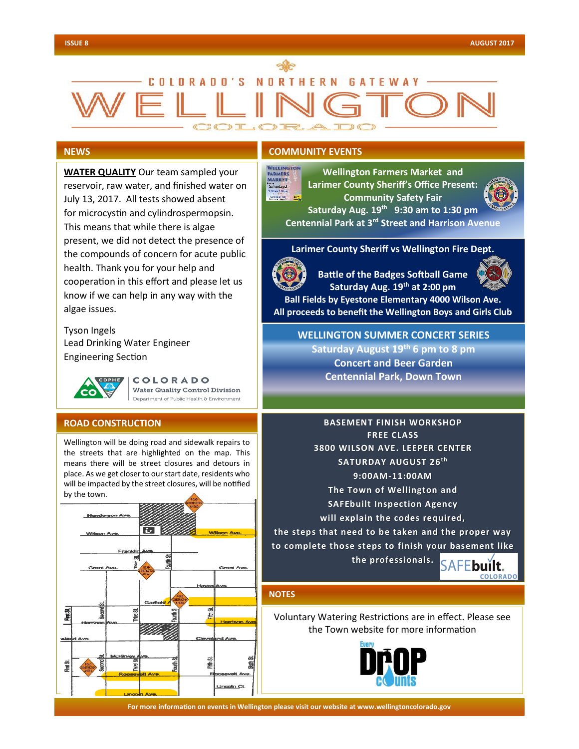# COLORADO'S NORTHERN GATEWAY

# **NEWS**

**WATER QUALITY** Our team sampled your reservoir, raw water, and finished water on July 13, 2017. All tests showed absent for microcystin and cylindrospermopsin. This means that while there is algae present, we did not detect the presence of the compounds of concern for acute public health. Thank you for your help and cooperation in this effort and please let us know if we can help in any way with the algae issues.

Tyson Ingels Lead Drinking Water Engineer Engineering Section



COLORADO Water Quality Control Division Department of Public Health & Environment

#### **ROAD CONSTRUCTION**

Wellington will be doing road and sidewalk repairs to the streets that are highlighted on the map. This means there will be street closures and detours in place. As we get closer to our start date, residents who will be impacted by the street closures, will be notified by the town.



# **COMMUNITY EVENTS**

VELLINGTON **Wellington Farmers Market and**  FARMERS<br>MARKET **Larimer County Sheriff's Office Present:**  Saturdays! **Community Safety Fair Saturday Aug. 19th 9:30 am to 1:30 pm**

**Centennial Park at 3rd Street and Harrison Avenue**

**Larimer County Sheriff vs Wellington Fire Dept.**



**Battle of the Badges Softball Game Saturday Aug. 19th at 2:00 pm** 



**Ball Fields by Eyestone Elementary 4000 Wilson Ave. All proceeds to benefit the Wellington Boys and Girls Club**

**WELLINGTON SUMMER CONCERT SERIES Saturday August 19th 6 pm to 8 pm Concert and Beer Garden Centennial Park, Down Town**

**BASEMENT FINISH WORKSHOP FREE CLASS 3800 WILSON AVE. LEEPER CENTER**  <code>SATURDAY AUGUST 26</code><sup>th</sup> **9:00AM-11:00AM The Town of Wellington and SAFEbuilt Inspection Agency will explain the codes required,** 

**the steps that need to be taken and the proper way to complete those steps to finish your basement like** 

**the professionals.**



## **NOTES**

Voluntary Watering Restrictions are in effect. Please see the Town website for more information



**For more information on events in Wellington please visit our website at www.wellingtoncolorado.gov For more information on events in Wellington please visit our website at www.wellingtoncolorado.gov**